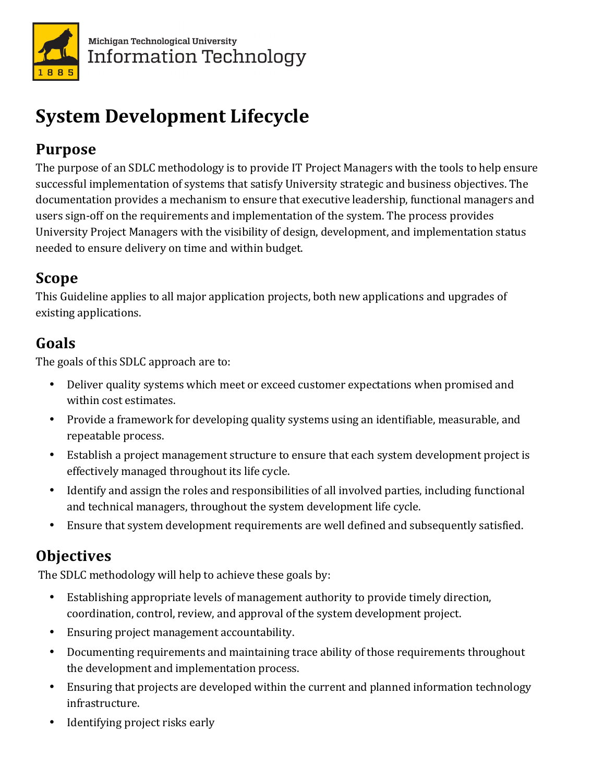

# **System Development Lifecycle**

## **Purpose**

The purpose of an SDLC methodology is to provide IT Project Managers with the tools to help ensure successful implementation of systems that satisfy University strategic and business objectives. The documentation provides a mechanism to ensure that executive leadership, functional managers and users sign-off on the requirements and implementation of the system. The process provides University Project Managers with the visibility of design, development, and implementation status needed to ensure delivery on time and within budget.

# **Scope**

This Guideline applies to all major application projects, both new applications and upgrades of existing applications.

# **Goals**

The goals of this SDLC approach are to:

- Deliver quality systems which meet or exceed customer expectations when promised and within cost estimates.
- Provide a framework for developing quality systems using an identifiable, measurable, and repeatable process.
- Establish a project management structure to ensure that each system development project is effectively managed throughout its life cycle.
- Identify and assign the roles and responsibilities of all involved parties, including functional and technical managers, throughout the system development life cycle.
- Ensure that system development requirements are well defined and subsequently satisfied.

# **Objectives**

The SDLC methodology will help to achieve these goals by:

- Establishing appropriate levels of management authority to provide timely direction, coordination, control, review, and approval of the system development project.
- Ensuring project management accountability.
- Documenting requirements and maintaining trace ability of those requirements throughout the development and implementation process.
- Ensuring that projects are developed within the current and planned information technology infrastructure.
- Identifying project risks early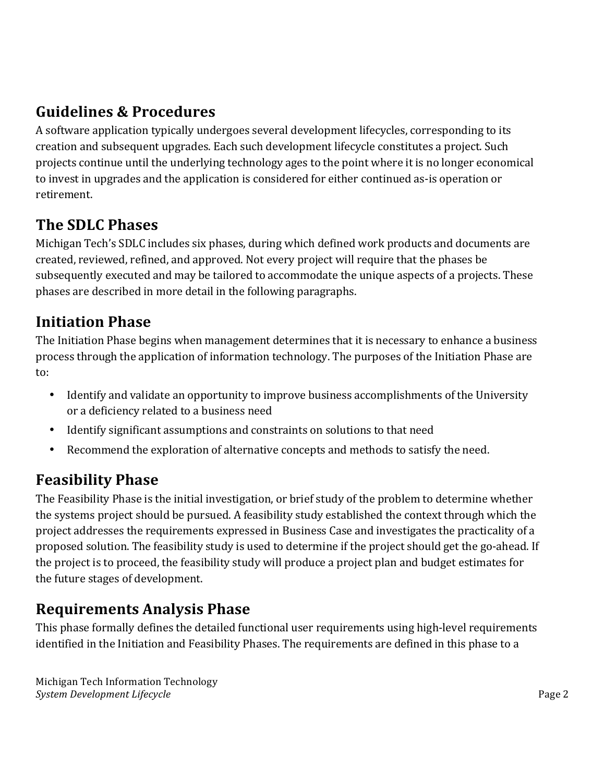## **Guidelines & Procedures**

A software application typically undergoes several development lifecycles, corresponding to its creation and subsequent upgrades. Each such development lifecycle constitutes a project. Such projects continue until the underlying technology ages to the point where it is no longer economical to invest in upgrades and the application is considered for either continued as-is operation or retirement. 

## **The SDLC Phases**

Michigan Tech's SDLC includes six phases, during which defined work products and documents are created, reviewed, refined, and approved. Not every project will require that the phases be subsequently executed and may be tailored to accommodate the unique aspects of a projects. These phases are described in more detail in the following paragraphs.

# **Initiation Phase**

The Initiation Phase begins when management determines that it is necessary to enhance a business process through the application of information technology. The purposes of the Initiation Phase are to: 

- Identify and validate an opportunity to improve business accomplishments of the University or a deficiency related to a business need
- Identify significant assumptions and constraints on solutions to that need
- Recommend the exploration of alternative concepts and methods to satisfy the need.

#### **Feasibility Phase**

The Feasibility Phase is the initial investigation, or brief study of the problem to determine whether the systems project should be pursued. A feasibility study established the context through which the project addresses the requirements expressed in Business Case and investigates the practicality of a proposed solution. The feasibility study is used to determine if the project should get the go-ahead. If the project is to proceed, the feasibility study will produce a project plan and budget estimates for the future stages of development.

#### **Requirements Analysis Phase**

This phase formally defines the detailed functional user requirements using high-level requirements identified in the Initiation and Feasibility Phases. The requirements are defined in this phase to a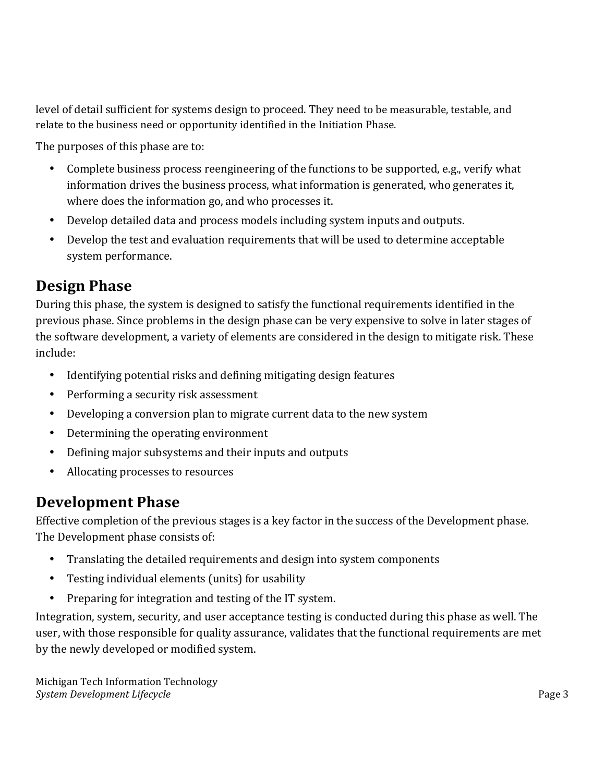level of detail sufficient for systems design to proceed. They need to be measurable, testable, and relate to the business need or opportunity identified in the Initiation Phase.

The purposes of this phase are to:

- Complete business process reengineering of the functions to be supported, e.g., verify what information drives the business process, what information is generated, who generates it, where does the information go, and who processes it.
- Develop detailed data and process models including system inputs and outputs.
- Develop the test and evaluation requirements that will be used to determine acceptable system performance.

#### **Design Phase**

During this phase, the system is designed to satisfy the functional requirements identified in the previous phase. Since problems in the design phase can be very expensive to solve in later stages of the software development, a variety of elements are considered in the design to mitigate risk. These include: 

- Identifying potential risks and defining mitigating design features
- Performing a security risk assessment
- Developing a conversion plan to migrate current data to the new system
- Determining the operating environment
- Defining major subsystems and their inputs and outputs
- Allocating processes to resources

#### **Development Phase**

Effective completion of the previous stages is a key factor in the success of the Development phase. The Development phase consists of:

- Translating the detailed requirements and design into system components
- Testing individual elements (units) for usability
- Preparing for integration and testing of the IT system.

Integration, system, security, and user acceptance testing is conducted during this phase as well. The user, with those responsible for quality assurance, validates that the functional requirements are met by the newly developed or modified system.

Michigan Tech Information Technology **System Development Lifecycle Page 3**